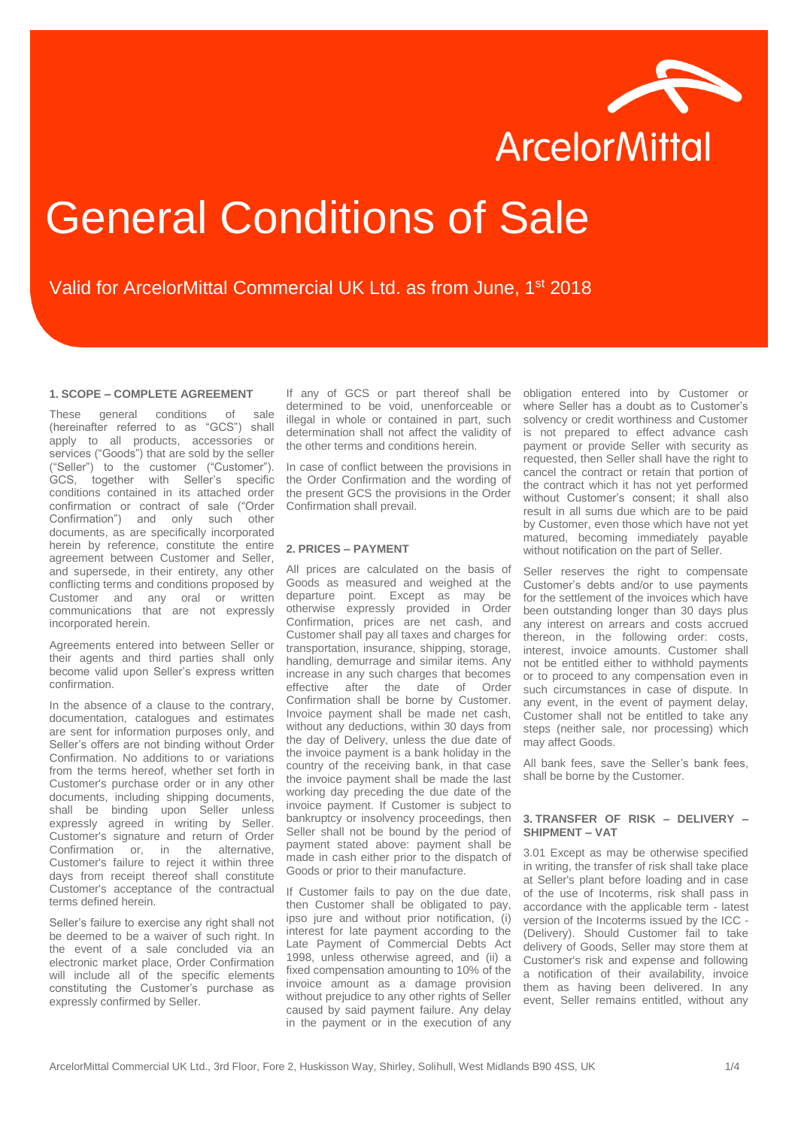

# General Conditions of Sale

## Valid for ArcelorMittal Commercial UK Ltd. as from June, 1st 2018

#### **1. SCOPE – COMPLETE AGREEMENT**

These general conditions of sale (hereinafter referred to as "GCS") shall apply to all products, accessories or services ("Goods") that are sold by the seller ("Seller") to the customer ("Customer"). GCS, together with Seller's specific conditions contained in its attached order confirmation or contract of sale ("Order Confirmation") and only such other documents, as are specifically incorporated herein by reference, constitute the entire agreement between Customer and Seller, and supersede, in their entirety, any other conflicting terms and conditions proposed by Customer and any oral or written communications that are not expressly incorporated herein.

Agreements entered into between Seller or their agents and third parties shall only become valid upon Seller's express written confirmation.

In the absence of a clause to the contrary, documentation, catalogues and estimates are sent for information purposes only, and Seller's offers are not binding without Order Confirmation. No additions to or variations from the terms hereof, whether set forth in Customer's purchase order or in any other documents, including shipping documents, shall be binding upon Seller unless expressly agreed in writing by Seller. Customer's signature and return of Order Confirmation or, in the alternative, Customer's failure to reject it within three days from receipt thereof shall constitute Customer's acceptance of the contractual terms defined herein.

Seller's failure to exercise any right shall not be deemed to be a waiver of such right. In the event of a sale concluded via an electronic market place, Order Confirmation will include all of the specific elements constituting the Customer's purchase as expressly confirmed by Seller.

If any of GCS or part thereof shall be determined to be void, unenforceable or illegal in whole or contained in part, such determination shall not affect the validity of the other terms and conditions herein.

In case of conflict between the provisions in the Order Confirmation and the wording of the present GCS the provisions in the Order Confirmation shall prevail.

#### **2. PRICES – PAYMENT**

All prices are calculated on the basis of Goods as measured and weighed at the departure point. Except as may be otherwise expressly provided in Order Confirmation, prices are net cash, and Customer shall pay all taxes and charges for transportation, insurance, shipping, storage, handling, demurrage and similar items. Any increase in any such charges that becomes effective after the date of Order Confirmation shall be borne by Customer. Invoice payment shall be made net cash, without any deductions, within 30 days from the day of Delivery, unless the due date of the invoice payment is a bank holiday in the country of the receiving bank, in that case the invoice payment shall be made the last working day preceding the due date of the invoice payment. If Customer is subject to bankruptcy or insolvency proceedings, then Seller shall not be bound by the period of payment stated above: payment shall be made in cash either prior to the dispatch of Goods or prior to their manufacture.

If Customer fails to pay on the due date, then Customer shall be obligated to pay, ipso jure and without prior notification, (i) interest for late payment according to the Late Payment of Commercial Debts Act 1998, unless otherwise agreed, and (ii) a fixed compensation amounting to 10% of the invoice amount as a damage provision without prejudice to any other rights of Seller caused by said payment failure. Any delay in the payment or in the execution of any

obligation entered into by Customer or where Seller has a doubt as to Customer's solvency or credit worthiness and Customer is not prepared to effect advance cash payment or provide Seller with security as requested, then Seller shall have the right to cancel the contract or retain that portion of the contract which it has not yet performed without Customer's consent; it shall also result in all sums due which are to be paid by Customer, even those which have not yet matured, becoming immediately payable without notification on the part of Seller.

Seller reserves the right to compensate Customer's debts and/or to use payments for the settlement of the invoices which have been outstanding longer than 30 days plus any interest on arrears and costs accrued thereon, in the following order: costs, interest, invoice amounts. Customer shall not be entitled either to withhold payments or to proceed to any compensation even in such circumstances in case of dispute. In any event, in the event of payment delay, Customer shall not be entitled to take any steps (neither sale, nor processing) which may affect Goods.

All bank fees, save the Seller's bank fees, shall be borne by the Customer.

### **3. TRANSFER OF RISK – DELIVERY – SHIPMENT – VAT**

3.01 Except as may be otherwise specified in writing, the transfer of risk shall take place at Seller's plant before loading and in case of the use of Incoterms, risk shall pass in accordance with the applicable term - latest version of the Incoterms issued by the ICC - (Delivery). Should Customer fail to take delivery of Goods, Seller may store them at Customer's risk and expense and following a notification of their availability, invoice them as having been delivered. In any event, Seller remains entitled, without any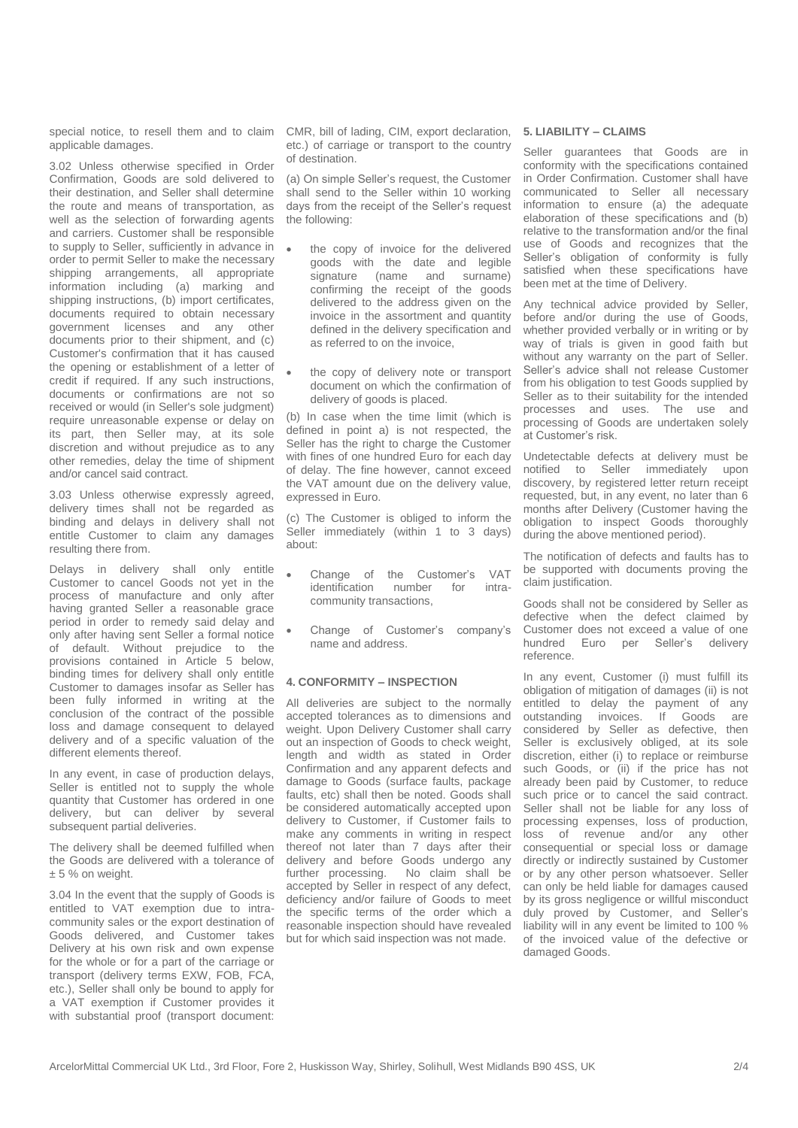special notice, to resell them and to claim applicable damages.

3.02 Unless otherwise specified in Order Confirmation, Goods are sold delivered to their destination, and Seller shall determine the route and means of transportation, as well as the selection of forwarding agents and carriers. Customer shall be responsible to supply to Seller, sufficiently in advance in order to permit Seller to make the necessary shipping arrangements, all appropriate information including (a) marking and shipping instructions, (b) import certificates, documents required to obtain necessary government licenses and any other documents prior to their shipment, and (c) Customer's confirmation that it has caused the opening or establishment of a letter of credit if required. If any such instructions, documents or confirmations are not so received or would (in Seller's sole judgment) require unreasonable expense or delay on its part, then Seller may, at its sole discretion and without prejudice as to any other remedies, delay the time of shipment and/or cancel said contract.

3.03 Unless otherwise expressly agreed, delivery times shall not be regarded as binding and delays in delivery shall not entitle Customer to claim any damages resulting there from.

Delays in delivery shall only entitle Customer to cancel Goods not yet in the process of manufacture and only after having granted Seller a reasonable grace period in order to remedy said delay and only after having sent Seller a formal notice of default. Without prejudice to the provisions contained in Article 5 below, binding times for delivery shall only entitle Customer to damages insofar as Seller has been fully informed in writing at the conclusion of the contract of the possible loss and damage consequent to delayed delivery and of a specific valuation of the different elements thereof.

In any event, in case of production delays, Seller is entitled not to supply the whole quantity that Customer has ordered in one delivery, but can deliver by several subsequent partial deliveries.

The delivery shall be deemed fulfilled when the Goods are delivered with a tolerance of  $± 5%$  on weight.

3.04 In the event that the supply of Goods is entitled to VAT exemption due to intracommunity sales or the export destination of Goods delivered, and Customer takes Delivery at his own risk and own expense for the whole or for a part of the carriage or transport (delivery terms EXW, FOB, FCA, etc.), Seller shall only be bound to apply for a VAT exemption if Customer provides it with substantial proof (transport document:

CMR, bill of lading, CIM, export declaration, etc.) of carriage or transport to the country of destination.

(a) On simple Seller's request, the Customer shall send to the Seller within 10 working days from the receipt of the Seller's request the following:

- the copy of invoice for the delivered goods with the date and legible signature (name and surname) confirming the receipt of the goods delivered to the address given on the invoice in the assortment and quantity defined in the delivery specification and as referred to on the invoice,
- the copy of delivery note or transport document on which the confirmation of delivery of goods is placed.

(b) In case when the time limit (which is defined in point a) is not respected, the Seller has the right to charge the Customer with fines of one hundred Euro for each day of delay. The fine however, cannot exceed the VAT amount due on the delivery value, expressed in Euro.

(c) The Customer is obliged to inform the Seller immediately (within 1 to 3 days) about:

- Change of the Customer's VAT<br>identification number for intraidentification number for intracommunity transactions,
- Change of Customer's company's name and address.

#### **4. CONFORMITY – INSPECTION**

All deliveries are subject to the normally accepted tolerances as to dimensions and weight. Upon Delivery Customer shall carry out an inspection of Goods to check weight, length and width as stated in Order Confirmation and any apparent defects and damage to Goods (surface faults, package faults, etc) shall then be noted. Goods shall be considered automatically accepted upon delivery to Customer, if Customer fails to make any comments in writing in respect thereof not later than 7 days after their delivery and before Goods undergo any further processing. No claim shall be accepted by Seller in respect of any defect, deficiency and/or failure of Goods to meet the specific terms of the order which a reasonable inspection should have revealed but for which said inspection was not made.

#### **5. LIABILITY – CLAIMS**

Seller guarantees that Goods are in conformity with the specifications contained in Order Confirmation. Customer shall have communicated to Seller all necessary information to ensure (a) the adequate elaboration of these specifications and (b) relative to the transformation and/or the final use of Goods and recognizes that the Seller's obligation of conformity is fully satisfied when these specifications have been met at the time of Delivery.

Any technical advice provided by Seller, before and/or during the use of Goods, whether provided verbally or in writing or by way of trials is given in good faith but without any warranty on the part of Seller. Seller's advice shall not release Customer from his obligation to test Goods supplied by Seller as to their suitability for the intended processes and uses. The use and processing of Goods are undertaken solely at Customer's risk.

Undetectable defects at delivery must be notified to Seller immediately upon discovery, by registered letter return receipt requested, but, in any event, no later than 6 months after Delivery (Customer having the obligation to inspect Goods thoroughly during the above mentioned period).

The notification of defects and faults has to be supported with documents proving the claim justification.

Goods shall not be considered by Seller as defective when the defect claimed by Customer does not exceed a value of one hundred Euro per Seller's delivery reference.

In any event, Customer (i) must fulfill its obligation of mitigation of damages (ii) is not entitled to delay the payment of any outstanding invoices. If Goods are outstanding invoices. If Goods are considered by Seller as defective, then Seller is exclusively obliged, at its sole discretion, either (i) to replace or reimburse such Goods, or (ii) if the price has not already been paid by Customer, to reduce such price or to cancel the said contract. Seller shall not be liable for any loss of processing expenses, loss of production, loss of revenue and/or any other consequential or special loss or damage directly or indirectly sustained by Customer or by any other person whatsoever. Seller can only be held liable for damages caused by its gross negligence or willful misconduct duly proved by Customer, and Seller's liability will in any event be limited to 100 % of the invoiced value of the defective or damaged Goods.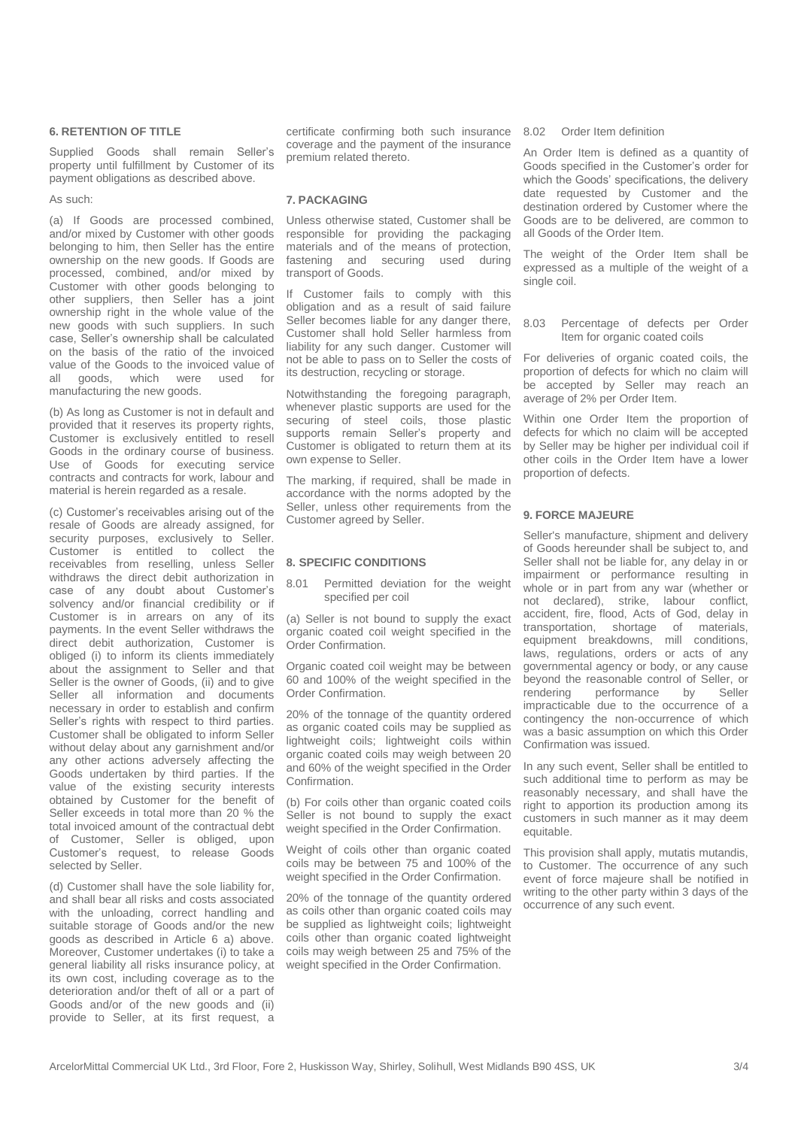#### **6. RETENTION OF TITLE**

Supplied Goods shall remain Seller's property until fulfillment by Customer of its payment obligations as described above.

#### As such:

(a) If Goods are processed combined, and/or mixed by Customer with other goods belonging to him, then Seller has the entire ownership on the new goods. If Goods are processed, combined, and/or mixed by Customer with other goods belonging to other suppliers, then Seller has a joint ownership right in the whole value of the new goods with such suppliers. In such case, Seller's ownership shall be calculated on the basis of the ratio of the invoiced value of the Goods to the invoiced value of<br>all goods which were used for all goods, which were manufacturing the new goods.

(b) As long as Customer is not in default and provided that it reserves its property rights, Customer is exclusively entitled to resell Goods in the ordinary course of business. Use of Goods for executing service contracts and contracts for work, labour and material is herein regarded as a resale.

(c) Customer's receivables arising out of the resale of Goods are already assigned, for security purposes, exclusively to Seller. Customer is entitled to collect the receivables from reselling, unless Seller withdraws the direct debit authorization in case of any doubt about Customer's solvency and/or financial credibility or if Customer is in arrears on any of its payments. In the event Seller withdraws the direct debit authorization, Customer is obliged (i) to inform its clients immediately about the assignment to Seller and that Seller is the owner of Goods, (ii) and to give Seller all information and documents necessary in order to establish and confirm Seller's rights with respect to third parties. Customer shall be obligated to inform Seller without delay about any garnishment and/or any other actions adversely affecting the Goods undertaken by third parties. If the value of the existing security interests obtained by Customer for the benefit of Seller exceeds in total more than 20 % the total invoiced amount of the contractual debt of Customer, Seller is obliged, upon Customer's request, to release Goods selected by Seller.

(d) Customer shall have the sole liability for, and shall bear all risks and costs associated with the unloading, correct handling and suitable storage of Goods and/or the new goods as described in Article 6 a) above. Moreover, Customer undertakes (i) to take a general liability all risks insurance policy, at its own cost, including coverage as to the deterioration and/or theft of all or a part of Goods and/or of the new goods and (ii) provide to Seller, at its first request, a

certificate confirming both such insurance 8.02 Order Item definition coverage and the payment of the insurance premium related thereto.

#### **7. PACKAGING**

Unless otherwise stated, Customer shall be responsible for providing the packaging materials and of the means of protection, fastening and securing used during transport of Goods.

If Customer fails to comply with this obligation and as a result of said failure Seller becomes liable for any danger there. Customer shall hold Seller harmless from liability for any such danger. Customer will not be able to pass on to Seller the costs of its destruction, recycling or storage.

Notwithstanding the foregoing paragraph, whenever plastic supports are used for the securing of steel coils, those plastic supports remain Seller's property and Customer is obligated to return them at its own expense to Seller.

The marking, if required, shall be made in accordance with the norms adopted by the Seller, unless other requirements from the Customer agreed by Seller.

#### **8. SPECIFIC CONDITIONS**

8.01 Permitted deviation for the weight specified per coil

(a) Seller is not bound to supply the exact organic coated coil weight specified in the Order Confirmation.

Organic coated coil weight may be between 60 and 100% of the weight specified in the Order Confirmation.

20% of the tonnage of the quantity ordered as organic coated coils may be supplied as lightweight coils; lightweight coils within organic coated coils may weigh between 20 and 60% of the weight specified in the Order Confirmation.

(b) For coils other than organic coated coils Seller is not bound to supply the exact weight specified in the Order Confirmation.

Weight of coils other than organic coated coils may be between 75 and 100% of the weight specified in the Order Confirmation.

20% of the tonnage of the quantity ordered as coils other than organic coated coils may be supplied as lightweight coils; lightweight coils other than organic coated lightweight coils may weigh between 25 and 75% of the weight specified in the Order Confirmation.

An Order Item is defined as a quantity of Goods specified in the Customer's order for which the Goods' specifications, the delivery date requested by Customer and the destination ordered by Customer where the Goods are to be delivered, are common to all Goods of the Order Item.

The weight of the Order Item shall be expressed as a multiple of the weight of a single coil.

8.03 Percentage of defects per Order Item for organic coated coils

For deliveries of organic coated coils, the proportion of defects for which no claim will be accepted by Seller may reach an average of 2% per Order Item.

Within one Order Item the proportion of defects for which no claim will be accepted by Seller may be higher per individual coil if other coils in the Order Item have a lower proportion of defects.

#### **9. FORCE MAJEURE**

Seller's manufacture, shipment and delivery of Goods hereunder shall be subject to, and Seller shall not be liable for, any delay in or impairment or performance resulting in whole or in part from any war (whether or not declared), strike, labour conflict, accident, fire, flood, Acts of God, delay in transportation, shortage of materials, equipment breakdowns, mill conditions, laws, regulations, orders or acts of any governmental agency or body, or any cause beyond the reasonable control of Seller, or rendering performance by Seller impracticable due to the occurrence of a contingency the non-occurrence of which was a basic assumption on which this Order Confirmation was issued.

In any such event, Seller shall be entitled to such additional time to perform as may be reasonably necessary, and shall have the right to apportion its production among its customers in such manner as it may deem equitable.

This provision shall apply, mutatis mutandis, to Customer. The occurrence of any such event of force majeure shall be notified in writing to the other party within 3 days of the occurrence of any such event.